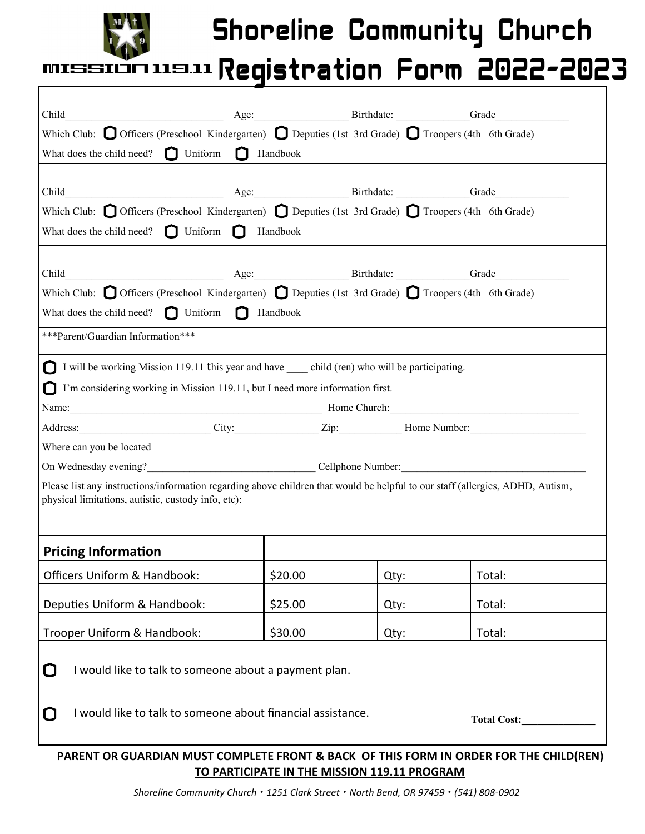

Г

## Shoreline Community Church

## **NEAL Registration Form 2022-2023** MISSI

| Which Club: $\bigcirc$ Officers (Preschool–Kindergarten) $\bigcirc$ Deputies (1st–3rd Grade) $\bigcirc$ Troopers (4th–6th Grade)                                                                                               |         |      |                    |  |
|--------------------------------------------------------------------------------------------------------------------------------------------------------------------------------------------------------------------------------|---------|------|--------------------|--|
| <b>I</b> Handbook<br>What does the child need? $\Box$ Uniform                                                                                                                                                                  |         |      |                    |  |
|                                                                                                                                                                                                                                |         |      |                    |  |
|                                                                                                                                                                                                                                |         |      |                    |  |
| Which Club: $\bigcirc$ Officers (Preschool–Kindergarten) $\bigcirc$ Deputies (1st–3rd Grade) $\bigcirc$ Troopers (4th–6th Grade)                                                                                               |         |      |                    |  |
| What does the child need? $\bigcap$ Uniform $\bigcap$ Handbook                                                                                                                                                                 |         |      |                    |  |
|                                                                                                                                                                                                                                |         |      |                    |  |
|                                                                                                                                                                                                                                |         |      |                    |  |
| Which Club: $\bigcirc$ Officers (Preschool–Kindergarten) $\bigcirc$ Deputies (1st–3rd Grade) $\bigcirc$ Troopers (4th–6th Grade)                                                                                               |         |      |                    |  |
| What does the child need? $\bigcap$ Uniform $\bigcap$ Handbook                                                                                                                                                                 |         |      |                    |  |
| ***Parent/Guardian Information***                                                                                                                                                                                              |         |      |                    |  |
| I will be working Mission 119.11 this year and have _____ child (ren) who will be participating.<br>П                                                                                                                          |         |      |                    |  |
| N<br>I'm considering working in Mission 119.11, but I need more information first.                                                                                                                                             |         |      |                    |  |
| Name: Mame. All Contract Contract Contract Contract Contract Contract Contract Contract Contract Contract Contract Contract Contract Contract Contract Contract Contract Contract Contract Contract Contract Contract Contract |         |      |                    |  |
| Address: City: City: Zip: Home Number:                                                                                                                                                                                         |         |      |                    |  |
| Where can you be located                                                                                                                                                                                                       |         |      |                    |  |
| On Wednesday evening?<br>Cellphone Number:<br>Cellphone Number:                                                                                                                                                                |         |      |                    |  |
| Please list any instructions/information regarding above children that would be helpful to our staff (allergies, ADHD, Autism,                                                                                                 |         |      |                    |  |
| physical limitations, autistic, custody info, etc):                                                                                                                                                                            |         |      |                    |  |
|                                                                                                                                                                                                                                |         |      |                    |  |
| <b>Pricing Information</b>                                                                                                                                                                                                     |         |      |                    |  |
| Officers Uniform & Handbook:                                                                                                                                                                                                   | \$20.00 | Qty: | Total:             |  |
|                                                                                                                                                                                                                                |         |      |                    |  |
| Deputies Uniform & Handbook:                                                                                                                                                                                                   | \$25.00 | Qty: | Total:             |  |
| Trooper Uniform & Handbook:                                                                                                                                                                                                    | \$30.00 | Qty: | Total:             |  |
|                                                                                                                                                                                                                                |         |      |                    |  |
| I would like to talk to someone about a payment plan.<br>Û                                                                                                                                                                     |         |      |                    |  |
|                                                                                                                                                                                                                                |         |      |                    |  |
| I would like to talk to someone about financial assistance.<br>O                                                                                                                                                               |         |      | <b>Total Cost:</b> |  |
|                                                                                                                                                                                                                                |         |      |                    |  |
| PARENT OR GUARDIAN MUST COMPLETE FRONT & BACK OF THIS FORM IN ORDER FOR THE CHILD(REN)                                                                                                                                         |         |      |                    |  |

## **TO PARTICIPATE IN THE MISSION 119.11 PROGRAM**

*Shoreline Community Church • 1251 Clark Street • North Bend, OR 97459 • (541) 808-0902*